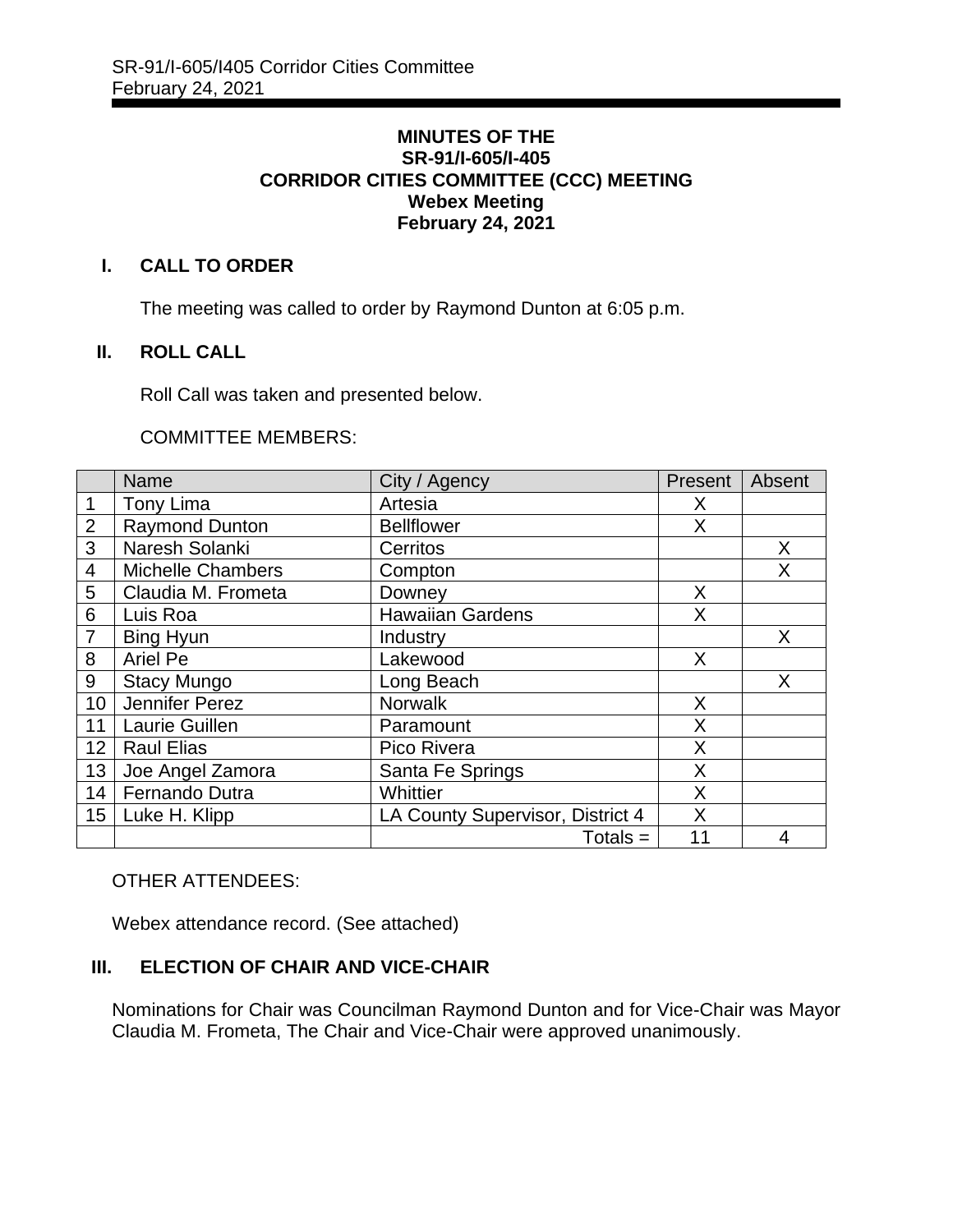#### **MINUTES OF THE SR-91/I-605/I-405 CORRIDOR CITIES COMMITTEE (CCC) MEETING Webex Meeting February 24, 2021**

## **I. CALL TO ORDER**

The meeting was called to order by Raymond Dunton at 6:05 p.m.

## **II. ROLL CALL**

Roll Call was taken and presented below.

#### COMMITTEE MEMBERS:

|                | <b>Name</b>              | City / Agency                    | Present | Absent |
|----------------|--------------------------|----------------------------------|---------|--------|
| 1              | Tony Lima                | Artesia                          | X       |        |
| $\overline{2}$ | <b>Raymond Dunton</b>    | <b>Bellflower</b>                | X       |        |
| $\overline{3}$ | Naresh Solanki           | Cerritos                         |         | X      |
| $\overline{4}$ | <b>Michelle Chambers</b> | Compton                          |         | X      |
| 5              | Claudia M. Frometa       | Downey                           | X       |        |
| 6              | Luis Roa                 | <b>Hawaiian Gardens</b>          | X       |        |
| $\overline{7}$ | Bing Hyun                | Industry                         |         | X      |
| 8              | <b>Ariel Pe</b>          | Lakewood                         | X       |        |
| 9              | <b>Stacy Mungo</b>       | Long Beach                       |         | X      |
| 10             | Jennifer Perez           | <b>Norwalk</b>                   | X       |        |
| 11             | Laurie Guillen           | Paramount                        | X       |        |
| 12             | <b>Raul Elias</b>        | Pico Rivera                      | X       |        |
| 13             | Joe Angel Zamora         | Santa Fe Springs                 | Χ       |        |
| 14             | Fernando Dutra           | Whittier                         | X       |        |
| 15             | Luke H. Klipp            | LA County Supervisor, District 4 | X       |        |
|                |                          | $Totals =$                       | 11      | 4      |

# OTHER ATTENDEES:

Webex attendance record. (See attached)

# **III. ELECTION OF CHAIR AND VICE-CHAIR**

Nominations for Chair was Councilman Raymond Dunton and for Vice-Chair was Mayor Claudia M. Frometa, The Chair and Vice-Chair were approved unanimously.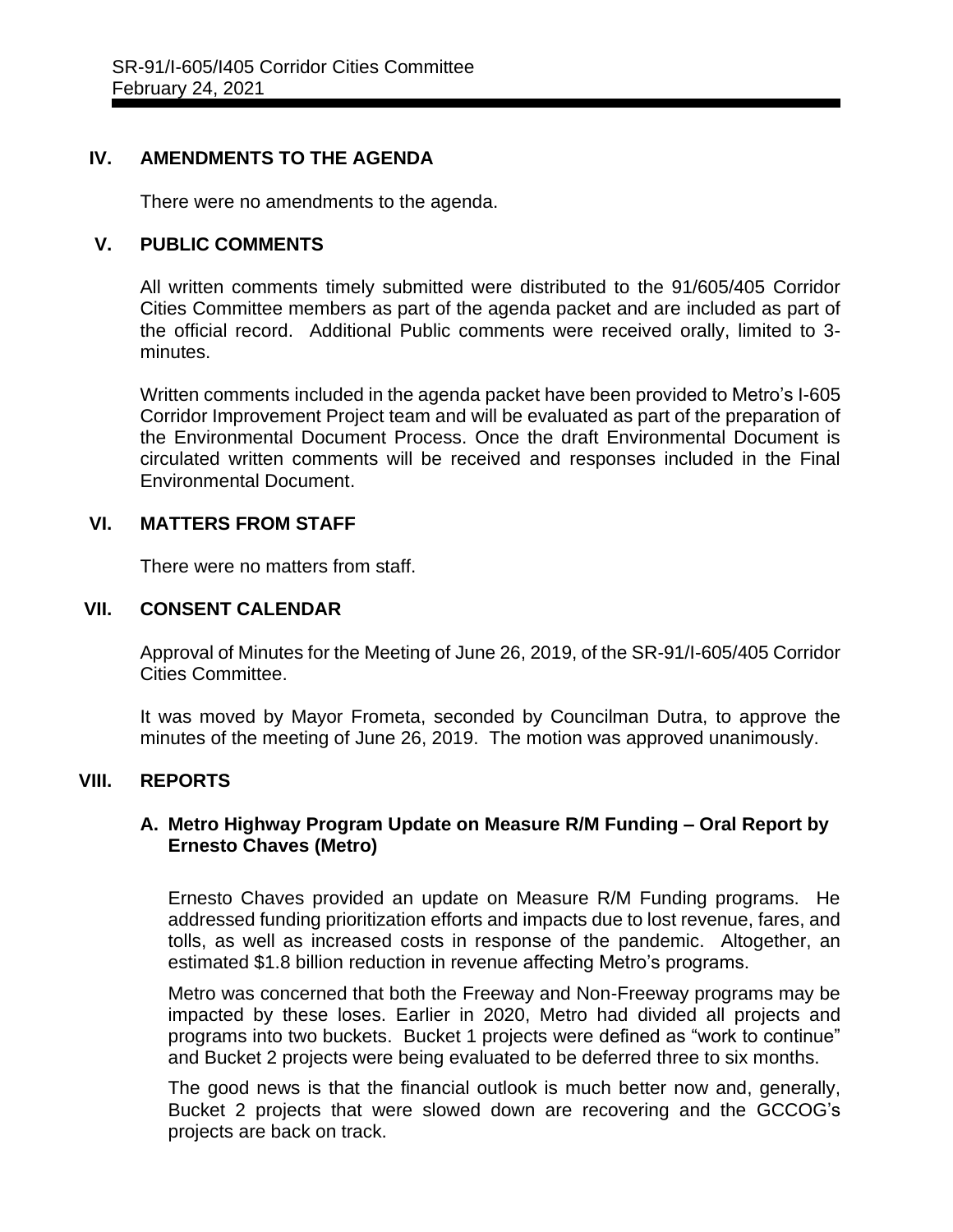## **IV. AMENDMENTS TO THE AGENDA**

There were no amendments to the agenda.

## **V. PUBLIC COMMENTS**

All written comments timely submitted were distributed to the 91/605/405 Corridor Cities Committee members as part of the agenda packet and are included as part of the official record. Additional Public comments were received orally, limited to 3 minutes.

Written comments included in the agenda packet have been provided to Metro's I-605 Corridor Improvement Project team and will be evaluated as part of the preparation of the Environmental Document Process. Once the draft Environmental Document is circulated written comments will be received and responses included in the Final Environmental Document.

## **VI. MATTERS FROM STAFF**

There were no matters from staff.

## **VII. CONSENT CALENDAR**

Approval of Minutes for the Meeting of June 26, 2019, of the SR-91/I-605/405 Corridor Cities Committee.

It was moved by Mayor Frometa, seconded by Councilman Dutra, to approve the minutes of the meeting of June 26, 2019. The motion was approved unanimously.

# **VIII. REPORTS**

## **A. Metro Highway Program Update on Measure R/M Funding – Oral Report by Ernesto Chaves (Metro)**

Ernesto Chaves provided an update on Measure R/M Funding programs. He addressed funding prioritization efforts and impacts due to lost revenue, fares, and tolls, as well as increased costs in response of the pandemic. Altogether, an estimated \$1.8 billion reduction in revenue affecting Metro's programs.

Metro was concerned that both the Freeway and Non-Freeway programs may be impacted by these loses. Earlier in 2020, Metro had divided all projects and programs into two buckets. Bucket 1 projects were defined as "work to continue" and Bucket 2 projects were being evaluated to be deferred three to six months.

The good news is that the financial outlook is much better now and, generally, Bucket 2 projects that were slowed down are recovering and the GCCOG's projects are back on track.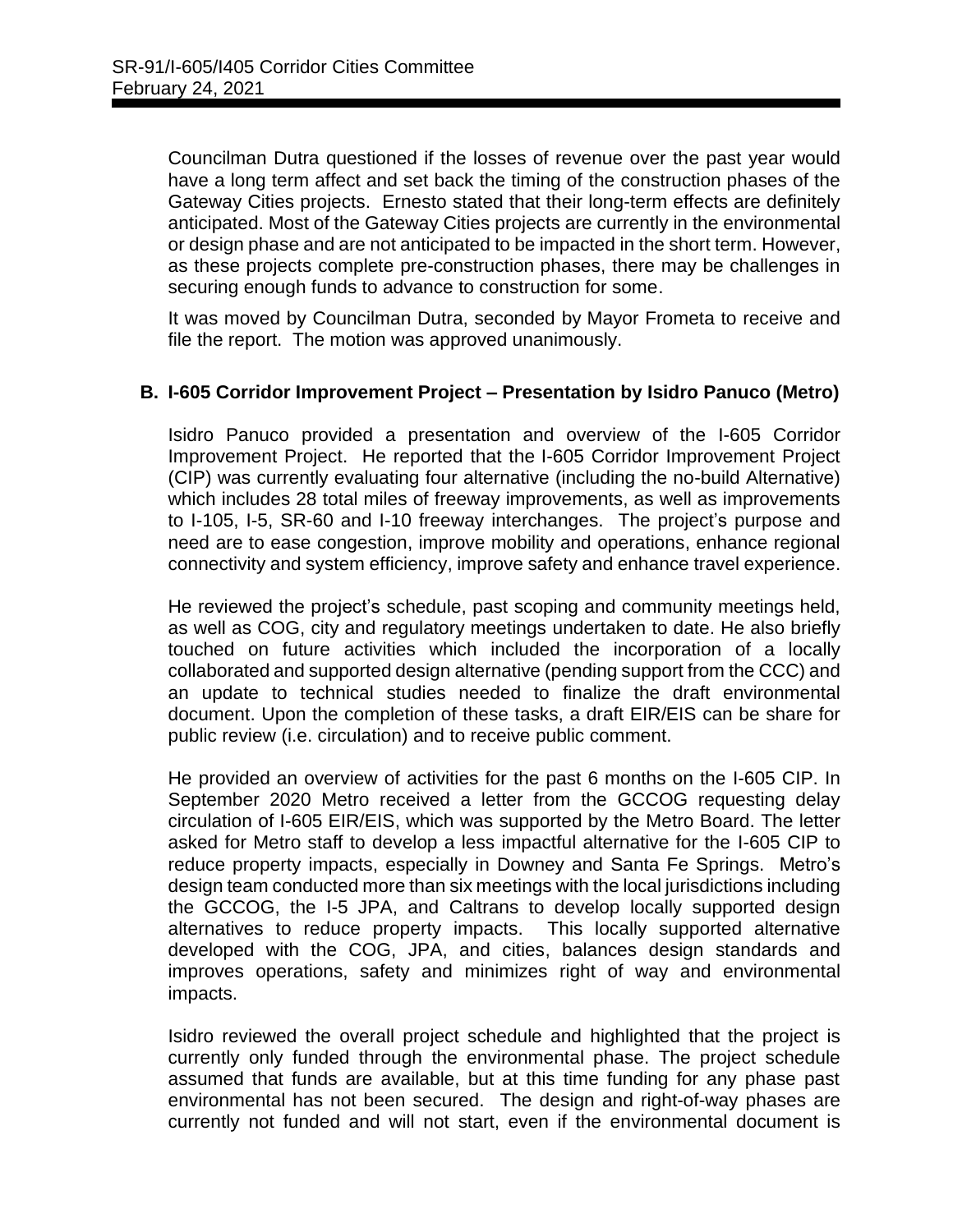Councilman Dutra questioned if the losses of revenue over the past year would have a long term affect and set back the timing of the construction phases of the Gateway Cities projects. Ernesto stated that their long-term effects are definitely anticipated. Most of the Gateway Cities projects are currently in the environmental or design phase and are not anticipated to be impacted in the short term. However, as these projects complete pre-construction phases, there may be challenges in securing enough funds to advance to construction for some.

It was moved by Councilman Dutra, seconded by Mayor Frometa to receive and file the report. The motion was approved unanimously.

# **B. I-605 Corridor Improvement Project – Presentation by Isidro Panuco (Metro)**

Isidro Panuco provided a presentation and overview of the I-605 Corridor Improvement Project. He reported that the I-605 Corridor Improvement Project (CIP) was currently evaluating four alternative (including the no-build Alternative) which includes 28 total miles of freeway improvements, as well as improvements to I-105, I-5, SR-60 and I-10 freeway interchanges. The project's purpose and need are to ease congestion, improve mobility and operations, enhance regional connectivity and system efficiency, improve safety and enhance travel experience.

He reviewed the project's schedule, past scoping and community meetings held, as well as COG, city and regulatory meetings undertaken to date. He also briefly touched on future activities which included the incorporation of a locally collaborated and supported design alternative (pending support from the CCC) and an update to technical studies needed to finalize the draft environmental document. Upon the completion of these tasks, a draft EIR/EIS can be share for public review (i.e. circulation) and to receive public comment.

He provided an overview of activities for the past 6 months on the I-605 CIP. In September 2020 Metro received a letter from the GCCOG requesting delay circulation of I-605 EIR/EIS, which was supported by the Metro Board. The letter asked for Metro staff to develop a less impactful alternative for the I-605 CIP to reduce property impacts, especially in Downey and Santa Fe Springs. Metro's design team conducted more than six meetings with the local jurisdictions including the GCCOG, the I-5 JPA, and Caltrans to develop locally supported design alternatives to reduce property impacts. This locally supported alternative developed with the COG, JPA, and cities, balances design standards and improves operations, safety and minimizes right of way and environmental impacts.

Isidro reviewed the overall project schedule and highlighted that the project is currently only funded through the environmental phase. The project schedule assumed that funds are available, but at this time funding for any phase past environmental has not been secured. The design and right-of-way phases are currently not funded and will not start, even if the environmental document is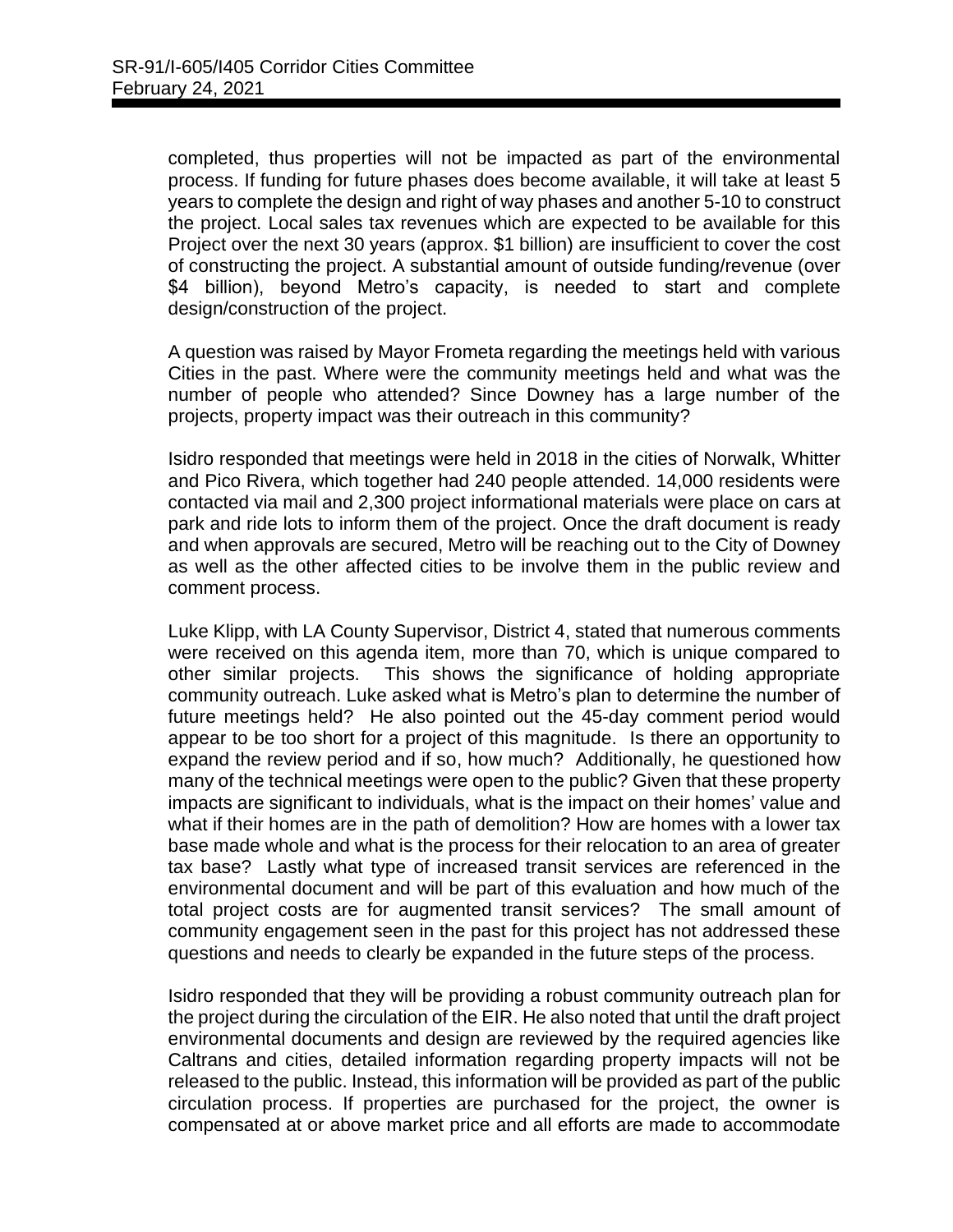completed, thus properties will not be impacted as part of the environmental process. If funding for future phases does become available, it will take at least 5 years to complete the design and right of way phases and another 5-10 to construct the project. Local sales tax revenues which are expected to be available for this Project over the next 30 years (approx. \$1 billion) are insufficient to cover the cost of constructing the project. A substantial amount of outside funding/revenue (over \$4 billion), beyond Metro's capacity, is needed to start and complete design/construction of the project.

A question was raised by Mayor Frometa regarding the meetings held with various Cities in the past. Where were the community meetings held and what was the number of people who attended? Since Downey has a large number of the projects, property impact was their outreach in this community?

Isidro responded that meetings were held in 2018 in the cities of Norwalk, Whitter and Pico Rivera, which together had 240 people attended. 14,000 residents were contacted via mail and 2,300 project informational materials were place on cars at park and ride lots to inform them of the project. Once the draft document is ready and when approvals are secured, Metro will be reaching out to the City of Downey as well as the other affected cities to be involve them in the public review and comment process.

Luke Klipp, with LA County Supervisor, District 4, stated that numerous comments were received on this agenda item, more than 70, which is unique compared to other similar projects. This shows the significance of holding appropriate community outreach. Luke asked what is Metro's plan to determine the number of future meetings held? He also pointed out the 45-day comment period would appear to be too short for a project of this magnitude. Is there an opportunity to expand the review period and if so, how much? Additionally, he questioned how many of the technical meetings were open to the public? Given that these property impacts are significant to individuals, what is the impact on their homes' value and what if their homes are in the path of demolition? How are homes with a lower tax base made whole and what is the process for their relocation to an area of greater tax base? Lastly what type of increased transit services are referenced in the environmental document and will be part of this evaluation and how much of the total project costs are for augmented transit services? The small amount of community engagement seen in the past for this project has not addressed these questions and needs to clearly be expanded in the future steps of the process.

Isidro responded that they will be providing a robust community outreach plan for the project during the circulation of the EIR. He also noted that until the draft project environmental documents and design are reviewed by the required agencies like Caltrans and cities, detailed information regarding property impacts will not be released to the public. Instead, this information will be provided as part of the public circulation process. If properties are purchased for the project, the owner is compensated at or above market price and all efforts are made to accommodate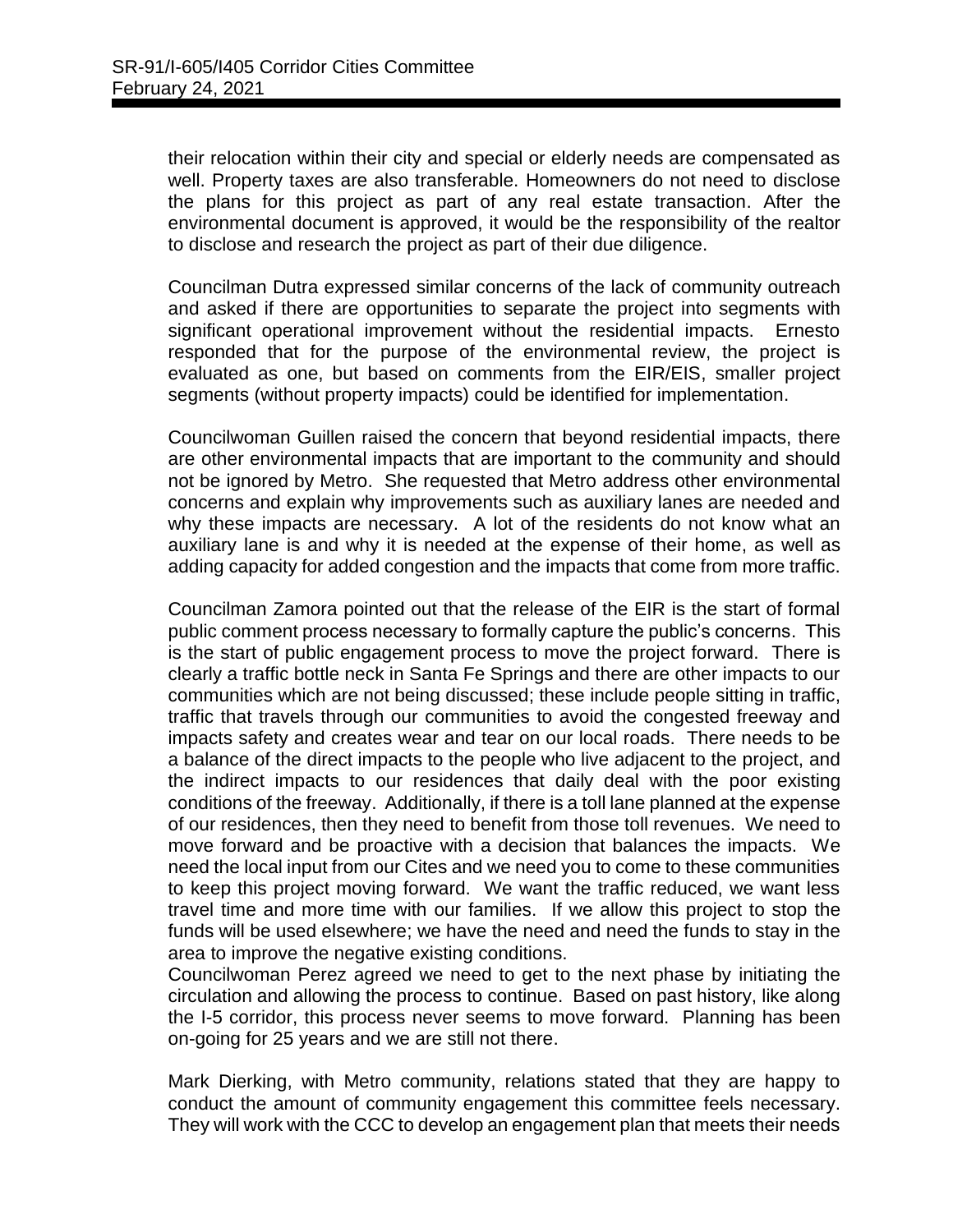their relocation within their city and special or elderly needs are compensated as well. Property taxes are also transferable. Homeowners do not need to disclose the plans for this project as part of any real estate transaction. After the environmental document is approved, it would be the responsibility of the realtor to disclose and research the project as part of their due diligence.

Councilman Dutra expressed similar concerns of the lack of community outreach and asked if there are opportunities to separate the project into segments with significant operational improvement without the residential impacts. Ernesto responded that for the purpose of the environmental review, the project is evaluated as one, but based on comments from the EIR/EIS, smaller project segments (without property impacts) could be identified for implementation.

Councilwoman Guillen raised the concern that beyond residential impacts, there are other environmental impacts that are important to the community and should not be ignored by Metro. She requested that Metro address other environmental concerns and explain why improvements such as auxiliary lanes are needed and why these impacts are necessary. A lot of the residents do not know what an auxiliary lane is and why it is needed at the expense of their home, as well as adding capacity for added congestion and the impacts that come from more traffic.

Councilman Zamora pointed out that the release of the EIR is the start of formal public comment process necessary to formally capture the public's concerns. This is the start of public engagement process to move the project forward. There is clearly a traffic bottle neck in Santa Fe Springs and there are other impacts to our communities which are not being discussed; these include people sitting in traffic, traffic that travels through our communities to avoid the congested freeway and impacts safety and creates wear and tear on our local roads. There needs to be a balance of the direct impacts to the people who live adjacent to the project, and the indirect impacts to our residences that daily deal with the poor existing conditions of the freeway. Additionally, if there is a toll lane planned at the expense of our residences, then they need to benefit from those toll revenues. We need to move forward and be proactive with a decision that balances the impacts. We need the local input from our Cites and we need you to come to these communities to keep this project moving forward. We want the traffic reduced, we want less travel time and more time with our families. If we allow this project to stop the funds will be used elsewhere; we have the need and need the funds to stay in the area to improve the negative existing conditions.

Councilwoman Perez agreed we need to get to the next phase by initiating the circulation and allowing the process to continue. Based on past history, like along the I-5 corridor, this process never seems to move forward. Planning has been on-going for 25 years and we are still not there.

Mark Dierking, with Metro community, relations stated that they are happy to conduct the amount of community engagement this committee feels necessary. They will work with the CCC to develop an engagement plan that meets their needs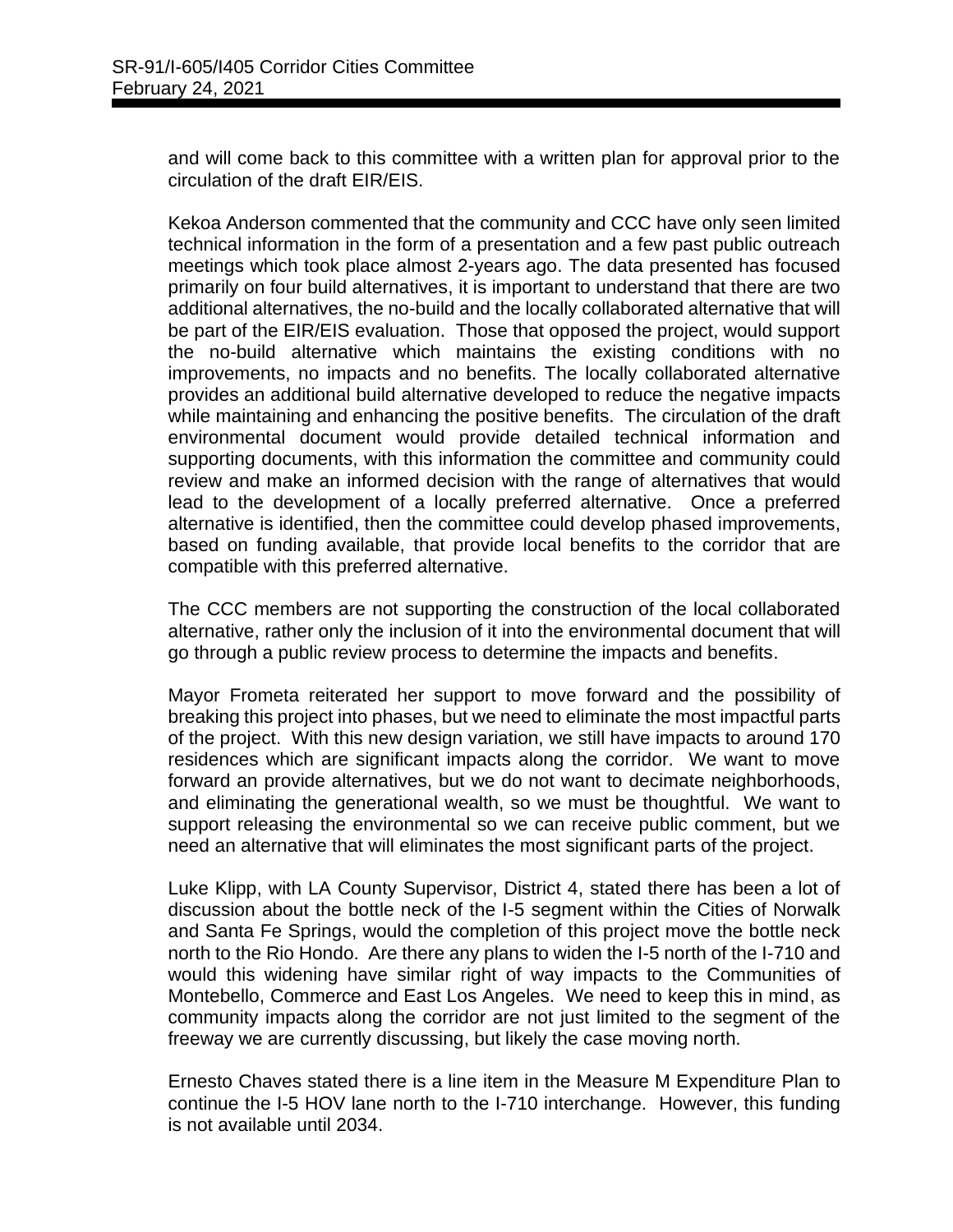and will come back to this committee with a written plan for approval prior to the circulation of the draft EIR/EIS.

Kekoa Anderson commented that the community and CCC have only seen limited technical information in the form of a presentation and a few past public outreach meetings which took place almost 2-years ago. The data presented has focused primarily on four build alternatives, it is important to understand that there are two additional alternatives, the no-build and the locally collaborated alternative that will be part of the EIR/EIS evaluation. Those that opposed the project, would support the no-build alternative which maintains the existing conditions with no improvements, no impacts and no benefits. The locally collaborated alternative provides an additional build alternative developed to reduce the negative impacts while maintaining and enhancing the positive benefits. The circulation of the draft environmental document would provide detailed technical information and supporting documents, with this information the committee and community could review and make an informed decision with the range of alternatives that would lead to the development of a locally preferred alternative. Once a preferred alternative is identified, then the committee could develop phased improvements, based on funding available, that provide local benefits to the corridor that are compatible with this preferred alternative.

The CCC members are not supporting the construction of the local collaborated alternative, rather only the inclusion of it into the environmental document that will go through a public review process to determine the impacts and benefits.

Mayor Frometa reiterated her support to move forward and the possibility of breaking this project into phases, but we need to eliminate the most impactful parts of the project. With this new design variation, we still have impacts to around 170 residences which are significant impacts along the corridor. We want to move forward an provide alternatives, but we do not want to decimate neighborhoods, and eliminating the generational wealth, so we must be thoughtful. We want to support releasing the environmental so we can receive public comment, but we need an alternative that will eliminates the most significant parts of the project.

Luke Klipp, with LA County Supervisor, District 4, stated there has been a lot of discussion about the bottle neck of the I-5 segment within the Cities of Norwalk and Santa Fe Springs, would the completion of this project move the bottle neck north to the Rio Hondo. Are there any plans to widen the I-5 north of the I-710 and would this widening have similar right of way impacts to the Communities of Montebello, Commerce and East Los Angeles. We need to keep this in mind, as community impacts along the corridor are not just limited to the segment of the freeway we are currently discussing, but likely the case moving north.

Ernesto Chaves stated there is a line item in the Measure M Expenditure Plan to continue the I-5 HOV lane north to the I-710 interchange. However, this funding is not available until 2034.